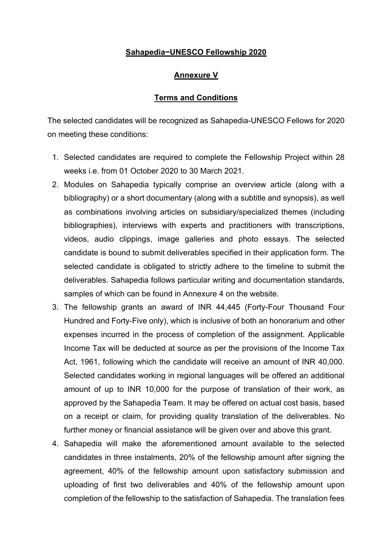## **Sahapedia−UNESCO Fellowship 2020**

## **Annexure V**

## **Terms and Conditions**

The selected candidates will be recognized as Sahapedia-UNESCO Fellows for 2020 on meeting these conditions:

- 1. Selected candidates are required to complete the Fellowship Project within 28 weeks i.e. from 01 October 2020 to 30 March 2021.
- 2. Modules on Sahapedia typically comprise an overview article (along with a bibliography) or a short documentary (along with a subtitle and synopsis), as well as combinations involving articles on subsidiary/specialized themes (including bibliographies), interviews with experts and practitioners with transcriptions, videos, audio clippings, image galleries and photo essays. The selected candidate is bound to submit deliverables specified in their application form. The selected candidate is obligated to strictly adhere to the timeline to submit the deliverables. Sahapedia follows particular writing and documentation standards, samples of which can be found in Annexure 4 on the website.
- 3. The fellowship grants an award of INR 44,445 (Forty-Four Thousand Four Hundred and Forty-Five only), which is inclusive of both an honorarium and other expenses incurred in the process of completion of the assignment. Applicable Income Tax will be deducted at source as per the provisions of the Income Tax Act, 1961, following which the candidate will receive an amount of INR 40,000. Selected candidates working in regional languages will be offered an additional amount of up to INR 10,000 for the purpose of translation of their work, as approved by the Sahapedia Team. It may be offered on actual cost basis, based on a receipt or claim, for providing quality translation of the deliverables. No further money or financial assistance will be given over and above this grant.
- 4. Sahapedia will make the aforementioned amount available to the selected candidates in three instalments, 20% of the fellowship amount after signing the agreement, 40% of the fellowship amount upon satisfactory submission and uploading of first two deliverables and 40% of the fellowship amount upon completion of the fellowship to the satisfaction of Sahapedia. The translation fees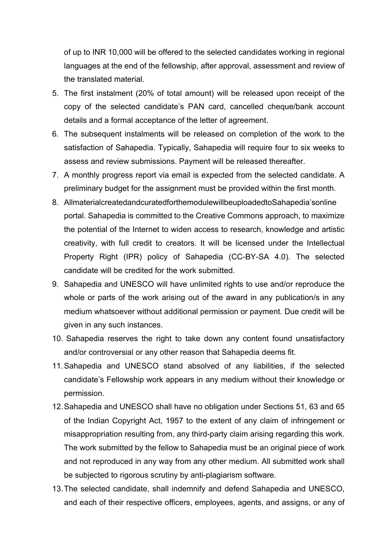of up to INR 10,000 will be offered to the selected candidates working in regional languages at the end of the fellowship, after approval, assessment and review of the translated material.

- 5. The first instalment (20% of total amount) will be released upon receipt of the copy of the selected candidate's PAN card, cancelled cheque/bank account details and a formal acceptance of the letter of agreement.
- 6. The subsequent instalments will be released on completion of the work to the satisfaction of Sahapedia. Typically, Sahapedia will require four to six weeks to assess and review submissions. Payment will be released thereafter.
- 7. A monthly progress report via email is expected from the selected candidate. A preliminary budget for the assignment must be provided within the first month.
- 8. AllmaterialcreatedandcuratedforthemodulewillbeuploadedtoSahapedia'sonline portal. Sahapedia is committed to the Creative Commons approach, to maximize the potential of the Internet to widen access to research, knowledge and artistic creativity, with full credit to creators. It will be licensed under the Intellectual Property Right (IPR) policy of Sahapedia (CC-BY-SA 4.0). The selected candidate will be credited for the work submitted.
- 9. Sahapedia and UNESCO will have unlimited rights to use and/or reproduce the whole or parts of the work arising out of the award in any publication/s in any medium whatsoever without additional permission or payment. Due credit will be given in any such instances.
- 10. Sahapedia reserves the right to take down any content found unsatisfactory and/or controversial or any other reason that Sahapedia deems fit.
- 11.Sahapedia and UNESCO stand absolved of any liabilities, if the selected candidate's Fellowship work appears in any medium without their knowledge or permission.
- 12.Sahapedia and UNESCO shall have no obligation under Sections 51, 63 and 65 of the Indian Copyright Act, 1957 to the extent of any claim of infringement or misappropriation resulting from, any third-party claim arising regarding this work. The work submitted by the fellow to Sahapedia must be an original piece of work and not reproduced in any way from any other medium. All submitted work shall be subjected to rigorous scrutiny by anti-plagiarism software.
- 13.The selected candidate, shall indemnify and defend Sahapedia and UNESCO, and each of their respective officers, employees, agents, and assigns, or any of